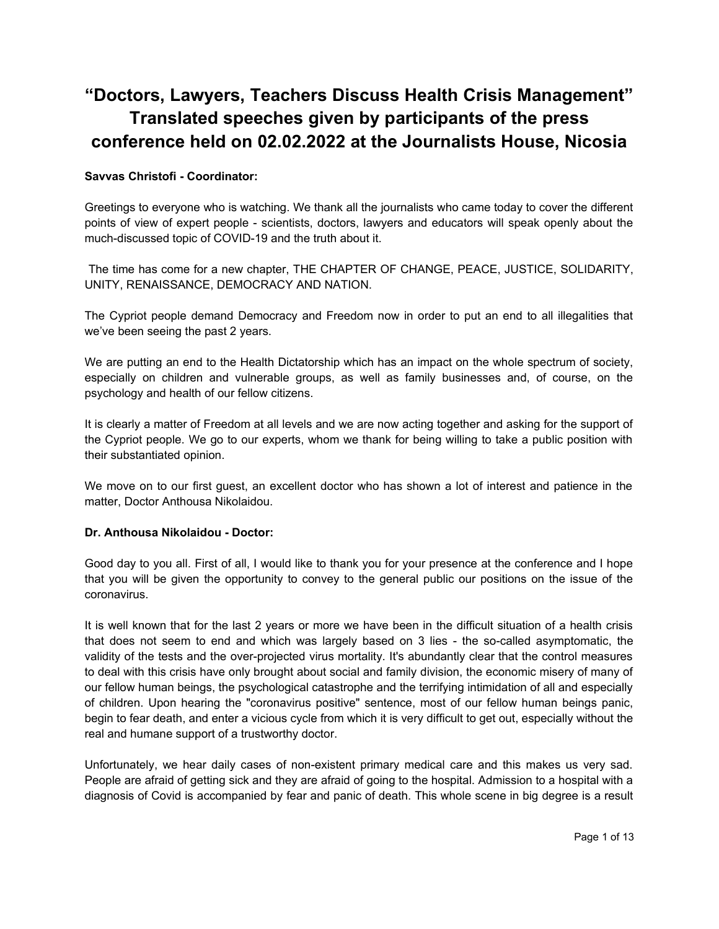# **"Doctors, Lawyers, Teachers Discuss Health Crisis Management" Translated speeches given by participants of the press conference held on 02.02.2022 at the Journalists House, Nicosia**

# **Savvas Christofi - Coordinator:**

Greetings to everyone who is watching. We thank all the journalists who came today to cover the different points of view of expert people - scientists, doctors, lawyers and educators will speak openly about the much-discussed topic of COVID-19 and the truth about it.

 The time has come for a new chapter, THE CHAPTER OF CHANGE, PEACE, JUSTICE, SOLIDARITY, UNITY, RENAISSANCE, DEMOCRACY AND NATION.

The Cypriot people demand Democracy and Freedom now in order to put an end to all illegalities that we've been seeing the past 2 years.

We are putting an end to the Health Dictatorship which has an impact on the whole spectrum of society, especially on children and vulnerable groups, as well as family businesses and, of course, on the psychology and health of our fellow citizens.

It is clearly a matter of Freedom at all levels and we are now acting together and asking for the support of the Cypriot people. We go to our experts, whom we thank for being willing to take a public position with their substantiated opinion.

We move on to our first guest, an excellent doctor who has shown a lot of interest and patience in the matter, Doctor Anthousa Nikolaidou.

# **Dr. Anthousa Nikolaidou - Doctor:**

Good day to you all. First of all, I would like to thank you for your presence at the conference and I hope that you will be given the opportunity to convey to the general public our positions on the issue of the coronavirus.

It is well known that for the last 2 years or more we have been in the difficult situation of a health crisis that does not seem to end and which was largely based on 3 lies - the so-called asymptomatic, the validity of the tests and the over-projected virus mortality. It's abundantly clear that the control measures to deal with this crisis have only brought about social and family division, the economic misery of many of our fellow human beings, the psychological catastrophe and the terrifying intimidation of all and especially of children. Upon hearing the "coronavirus positive" sentence, most of our fellow human beings panic, begin to fear death, and enter a vicious cycle from which it is very difficult to get out, especially without the real and humane support of a trustworthy doctor.

Unfortunately, we hear daily cases of non-existent primary medical care and this makes us very sad. People are afraid of getting sick and they are afraid of going to the hospital. Admission to a hospital with a diagnosis of Covid is accompanied by fear and panic of death. This whole scene in big degree is a result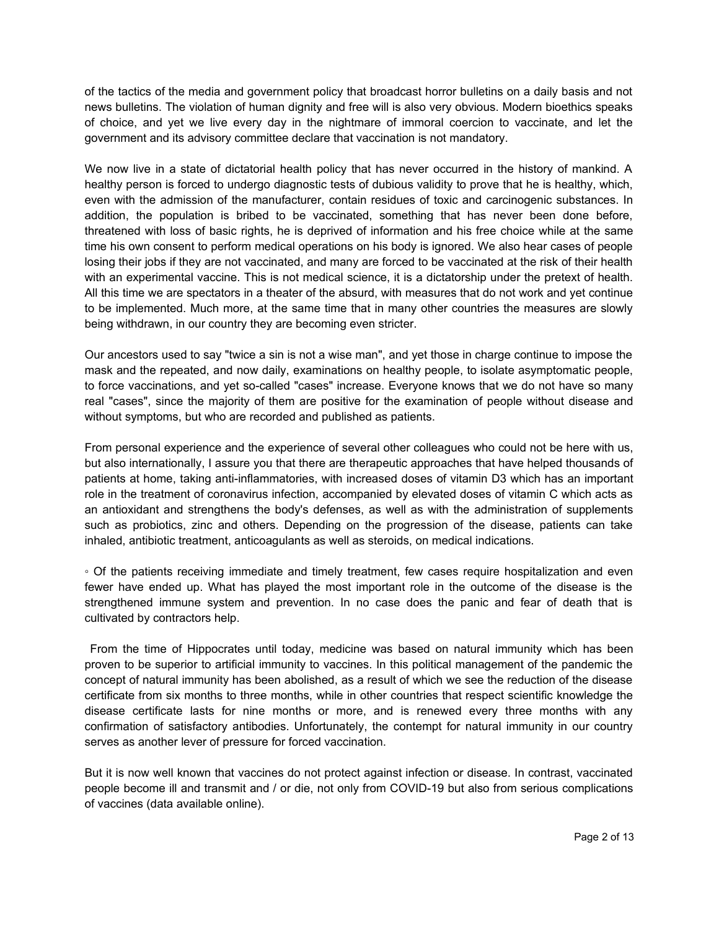of the tactics of the media and government policy that broadcast horror bulletins on a daily basis and not news bulletins. The violation of human dignity and free will is also very obvious. Modern bioethics speaks of choice, and yet we live every day in the nightmare of immoral coercion to vaccinate, and let the government and its advisory committee declare that vaccination is not mandatory.

We now live in a state of dictatorial health policy that has never occurred in the history of mankind. A healthy person is forced to undergo diagnostic tests of dubious validity to prove that he is healthy, which, even with the admission of the manufacturer, contain residues of toxic and carcinogenic substances. In addition, the population is bribed to be vaccinated, something that has never been done before, threatened with loss of basic rights, he is deprived of information and his free choice while at the same time his own consent to perform medical operations on his body is ignored. We also hear cases of people losing their jobs if they are not vaccinated, and many are forced to be vaccinated at the risk of their health with an experimental vaccine. This is not medical science, it is a dictatorship under the pretext of health. All this time we are spectators in a theater of the absurd, with measures that do not work and yet continue to be implemented. Much more, at the same time that in many other countries the measures are slowly being withdrawn, in our country they are becoming even stricter.

Our ancestors used to say "twice a sin is not a wise man", and yet those in charge continue to impose the mask and the repeated, and now daily, examinations on healthy people, to isolate asymptomatic people, to force vaccinations, and yet so-called "cases" increase. Everyone knows that we do not have so many real "cases", since the majority of them are positive for the examination of people without disease and without symptoms, but who are recorded and published as patients.

From personal experience and the experience of several other colleagues who could not be here with us, but also internationally, I assure you that there are therapeutic approaches that have helped thousands of patients at home, taking anti-inflammatories, with increased doses of vitamin D3 which has an important role in the treatment of coronavirus infection, accompanied by elevated doses of vitamin C which acts as an antioxidant and strengthens the body's defenses, as well as with the administration of supplements such as probiotics, zinc and others. Depending on the progression of the disease, patients can take inhaled, antibiotic treatment, anticoagulants as well as steroids, on medical indications.

◦ Of the patients receiving immediate and timely treatment, few cases require hospitalization and even fewer have ended up. What has played the most important role in the outcome of the disease is the strengthened immune system and prevention. In no case does the panic and fear of death that is cultivated by contractors help.

 From the time of Hippocrates until today, medicine was based on natural immunity which has been proven to be superior to artificial immunity to vaccines. In this political management of the pandemic the concept of natural immunity has been abolished, as a result of which we see the reduction of the disease certificate from six months to three months, while in other countries that respect scientific knowledge the disease certificate lasts for nine months or more, and is renewed every three months with any confirmation of satisfactory antibodies. Unfortunately, the contempt for natural immunity in our country serves as another lever of pressure for forced vaccination.

But it is now well known that vaccines do not protect against infection or disease. In contrast, vaccinated people become ill and transmit and / or die, not only from COVID-19 but also from serious complications of vaccines (data available online).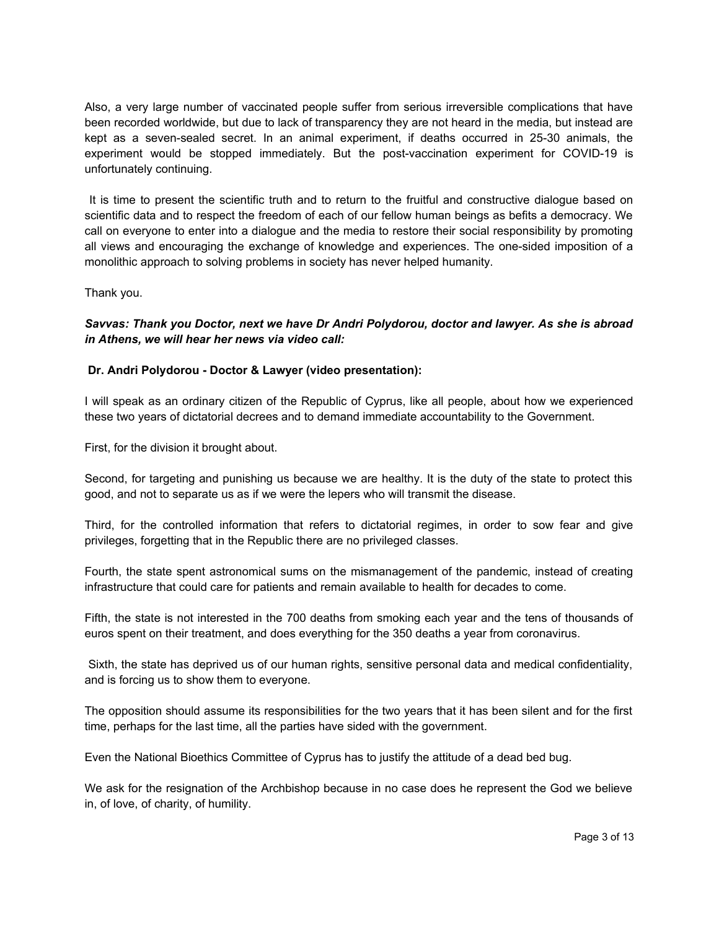Also, a very large number of vaccinated people suffer from serious irreversible complications that have been recorded worldwide, but due to lack of transparency they are not heard in the media, but instead are kept as a seven-sealed secret. In an animal experiment, if deaths occurred in 25-30 animals, the experiment would be stopped immediately. But the post-vaccination experiment for COVID-19 is unfortunately continuing.

 It is time to present the scientific truth and to return to the fruitful and constructive dialogue based on scientific data and to respect the freedom of each of our fellow human beings as befits a democracy. We call on everyone to enter into a dialogue and the media to restore their social responsibility by promoting all views and encouraging the exchange of knowledge and experiences. The one-sided imposition of a monolithic approach to solving problems in society has never helped humanity.

Thank you.

*Savvas: Thank you Doctor, next we have Dr Andri Polydorou, doctor and lawyer. As she is abroad in Athens, we will hear her news via video call:*

## **Dr. Andri Polydorou - Doctor & Lawyer (video presentation):**

I will speak as an ordinary citizen of the Republic of Cyprus, like all people, about how we experienced these two years of dictatorial decrees and to demand immediate accountability to the Government.

First, for the division it brought about.

Second, for targeting and punishing us because we are healthy. It is the duty of the state to protect this good, and not to separate us as if we were the lepers who will transmit the disease.

Third, for the controlled information that refers to dictatorial regimes, in order to sow fear and give privileges, forgetting that in the Republic there are no privileged classes.

Fourth, the state spent astronomical sums on the mismanagement of the pandemic, instead of creating infrastructure that could care for patients and remain available to health for decades to come.

Fifth, the state is not interested in the 700 deaths from smoking each year and the tens of thousands of euros spent on their treatment, and does everything for the 350 deaths a year from coronavirus.

 Sixth, the state has deprived us of our human rights, sensitive personal data and medical confidentiality, and is forcing us to show them to everyone.

The opposition should assume its responsibilities for the two years that it has been silent and for the first time, perhaps for the last time, all the parties have sided with the government.

Even the National Bioethics Committee of Cyprus has to justify the attitude of a dead bed bug.

We ask for the resignation of the Archbishop because in no case does he represent the God we believe in, of love, of charity, of humility.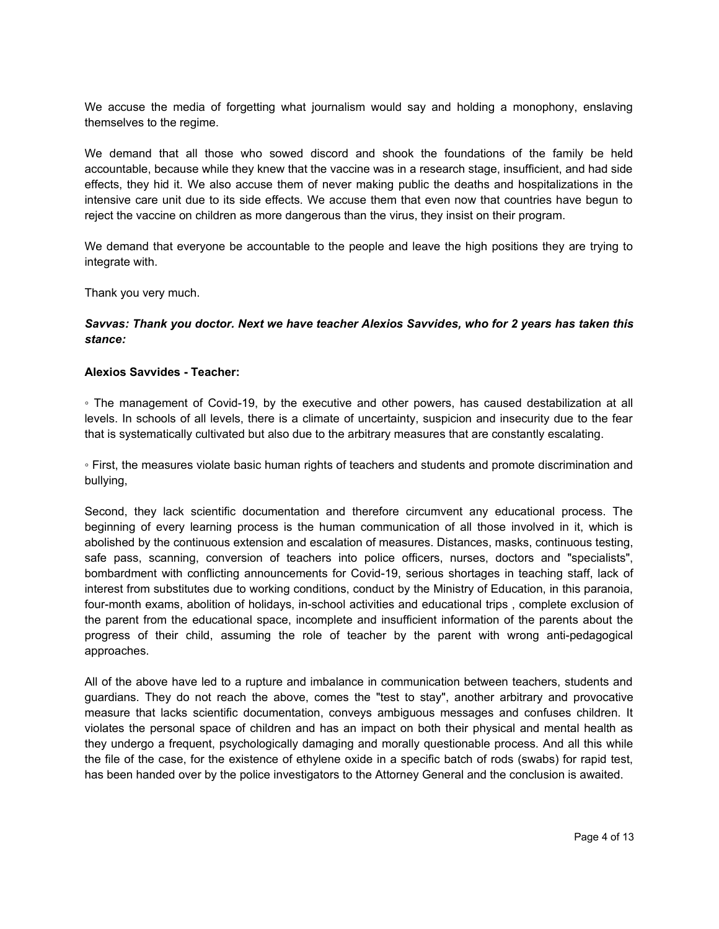We accuse the media of forgetting what journalism would say and holding a monophony, enslaving themselves to the regime.

We demand that all those who sowed discord and shook the foundations of the family be held accountable, because while they knew that the vaccine was in a research stage, insufficient, and had side effects, they hid it. We also accuse them of never making public the deaths and hospitalizations in the intensive care unit due to its side effects. We accuse them that even now that countries have begun to reject the vaccine on children as more dangerous than the virus, they insist on their program.

We demand that everyone be accountable to the people and leave the high positions they are trying to integrate with.

Thank you very much.

## *Savvas: Thank you doctor. Next we have teacher Alexios Savvides, who for 2 years has taken this stance:*

### **Alexios Savvides - Teacher:**

◦ The management of Covid-19, by the executive and other powers, has caused destabilization at all levels. In schools of all levels, there is a climate of uncertainty, suspicion and insecurity due to the fear that is systematically cultivated but also due to the arbitrary measures that are constantly escalating.

◦ First, the measures violate basic human rights of teachers and students and promote discrimination and bullying,

Second, they lack scientific documentation and therefore circumvent any educational process. The beginning of every learning process is the human communication of all those involved in it, which is abolished by the continuous extension and escalation of measures. Distances, masks, continuous testing, safe pass, scanning, conversion of teachers into police officers, nurses, doctors and "specialists", bombardment with conflicting announcements for Covid-19, serious shortages in teaching staff, lack of interest from substitutes due to working conditions, conduct by the Ministry of Education, in this paranoia, four-month exams, abolition of holidays, in-school activities and educational trips , complete exclusion of the parent from the educational space, incomplete and insufficient information of the parents about the progress of their child, assuming the role of teacher by the parent with wrong anti-pedagogical approaches.

All of the above have led to a rupture and imbalance in communication between teachers, students and guardians. They do not reach the above, comes the "test to stay", another arbitrary and provocative measure that lacks scientific documentation, conveys ambiguous messages and confuses children. It violates the personal space of children and has an impact on both their physical and mental health as they undergo a frequent, psychologically damaging and morally questionable process. And all this while the file of the case, for the existence of ethylene oxide in a specific batch of rods (swabs) for rapid test, has been handed over by the police investigators to the Attorney General and the conclusion is awaited.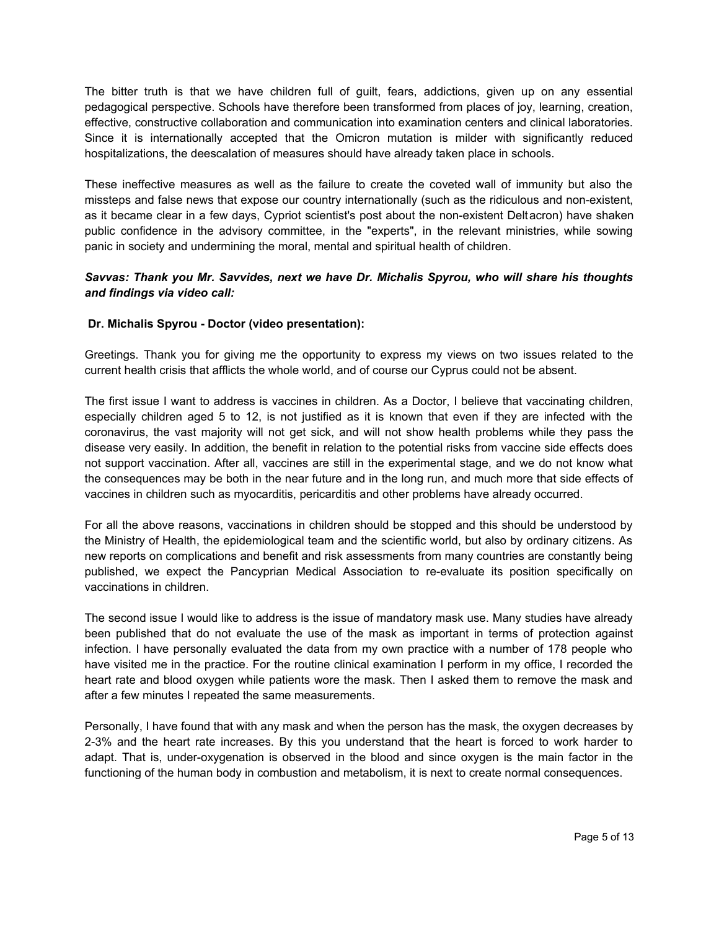The bitter truth is that we have children full of guilt, fears, addictions, given up on any essential pedagogical perspective. Schools have therefore been transformed from places of joy, learning, creation, effective, constructive collaboration and communication into examination centers and clinical laboratories. Since it is internationally accepted that the Omicron mutation is milder with significantly reduced hospitalizations, the deescalation of measures should have already taken place in schools.

These ineffective measures as well as the failure to create the coveted wall of immunity but also the missteps and false news that expose our country internationally (such as the ridiculous and non-existent, as it became clear in a few days, Cypriot scientist's post about the non-existent Deltacron) have shaken public confidence in the advisory committee, in the "experts", in the relevant ministries, while sowing panic in society and undermining the moral, mental and spiritual health of children.

# *Savvas: Thank you Mr. Savvides, next we have Dr. Michalis Spyrou, who will share his thoughts and findings via video call:*

# **Dr. Michalis Spyrou - Doctor (video presentation):**

Greetings. Thank you for giving me the opportunity to express my views on two issues related to the current health crisis that afflicts the whole world, and of course our Cyprus could not be absent.

The first issue I want to address is vaccines in children. As a Doctor, I believe that vaccinating children, especially children aged 5 to 12, is not justified as it is known that even if they are infected with the coronavirus, the vast majority will not get sick, and will not show health problems while they pass the disease very easily. In addition, the benefit in relation to the potential risks from vaccine side effects does not support vaccination. After all, vaccines are still in the experimental stage, and we do not know what the consequences may be both in the near future and in the long run, and much more that side effects of vaccines in children such as myocarditis, pericarditis and other problems have already occurred.

For all the above reasons, vaccinations in children should be stopped and this should be understood by the Ministry of Health, the epidemiological team and the scientific world, but also by ordinary citizens. As new reports on complications and benefit and risk assessments from many countries are constantly being published, we expect the Pancyprian Medical Association to re-evaluate its position specifically on vaccinations in children.

The second issue I would like to address is the issue of mandatory mask use. Many studies have already been published that do not evaluate the use of the mask as important in terms of protection against infection. I have personally evaluated the data from my own practice with a number of 178 people who have visited me in the practice. For the routine clinical examination I perform in my office, I recorded the heart rate and blood oxygen while patients wore the mask. Then I asked them to remove the mask and after a few minutes I repeated the same measurements.

Personally, I have found that with any mask and when the person has the mask, the oxygen decreases by 2-3% and the heart rate increases. By this you understand that the heart is forced to work harder to adapt. That is, under-oxygenation is observed in the blood and since oxygen is the main factor in the functioning of the human body in combustion and metabolism, it is next to create normal consequences.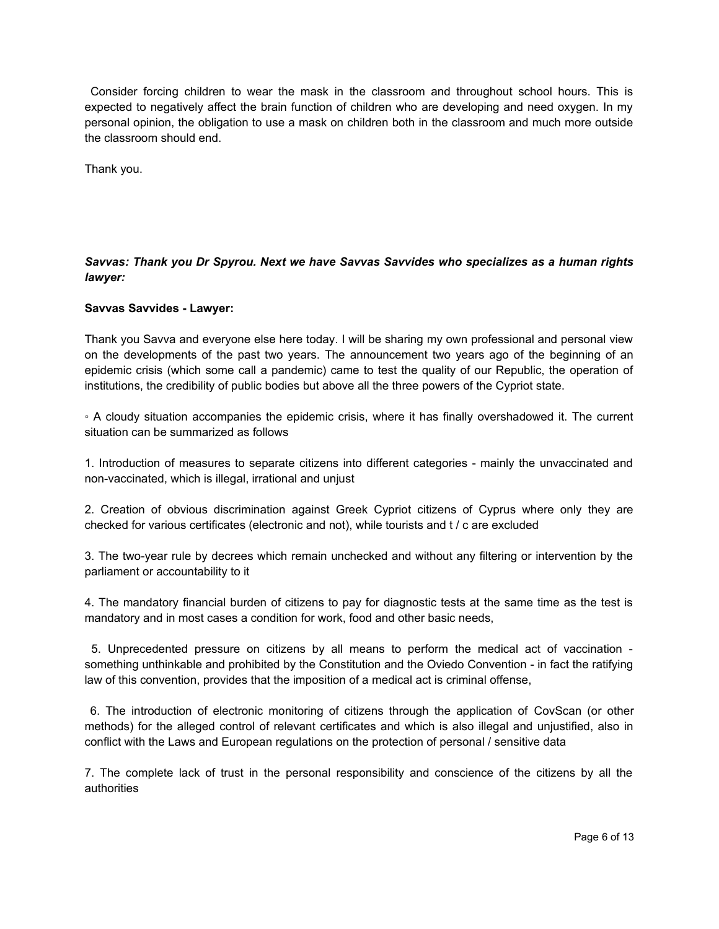Consider forcing children to wear the mask in the classroom and throughout school hours. This is expected to negatively affect the brain function of children who are developing and need oxygen. In my personal opinion, the obligation to use a mask on children both in the classroom and much more outside the classroom should end.

Thank you.

# *Savvas: Thank you Dr Spyrou. Next we have Savvas Savvides who specializes as a human rights lawyer:*

## **Savvas Savvides - Lawyer:**

Thank you Savva and everyone else here today. I will be sharing my own professional and personal view on the developments of the past two years. The announcement two years ago of the beginning of an epidemic crisis (which some call a pandemic) came to test the quality of our Republic, the operation of institutions, the credibility of public bodies but above all the three powers of the Cypriot state.

◦ A cloudy situation accompanies the epidemic crisis, where it has finally overshadowed it. The current situation can be summarized as follows

1. Introduction of measures to separate citizens into different categories - mainly the unvaccinated and non-vaccinated, which is illegal, irrational and unjust

2. Creation of obvious discrimination against Greek Cypriot citizens of Cyprus where only they are checked for various certificates (electronic and not), while tourists and t / c are excluded

3. The two-year rule by decrees which remain unchecked and without any filtering or intervention by the parliament or accountability to it

4. The mandatory financial burden of citizens to pay for diagnostic tests at the same time as the test is mandatory and in most cases a condition for work, food and other basic needs,

 5. Unprecedented pressure on citizens by all means to perform the medical act of vaccination something unthinkable and prohibited by the Constitution and the Oviedo Convention - in fact the ratifying law of this convention, provides that the imposition of a medical act is criminal offense,

 6. The introduction of electronic monitoring of citizens through the application of CovScan (or other methods) for the alleged control of relevant certificates and which is also illegal and unjustified, also in conflict with the Laws and European regulations on the protection of personal / sensitive data

7. The complete lack of trust in the personal responsibility and conscience of the citizens by all the authorities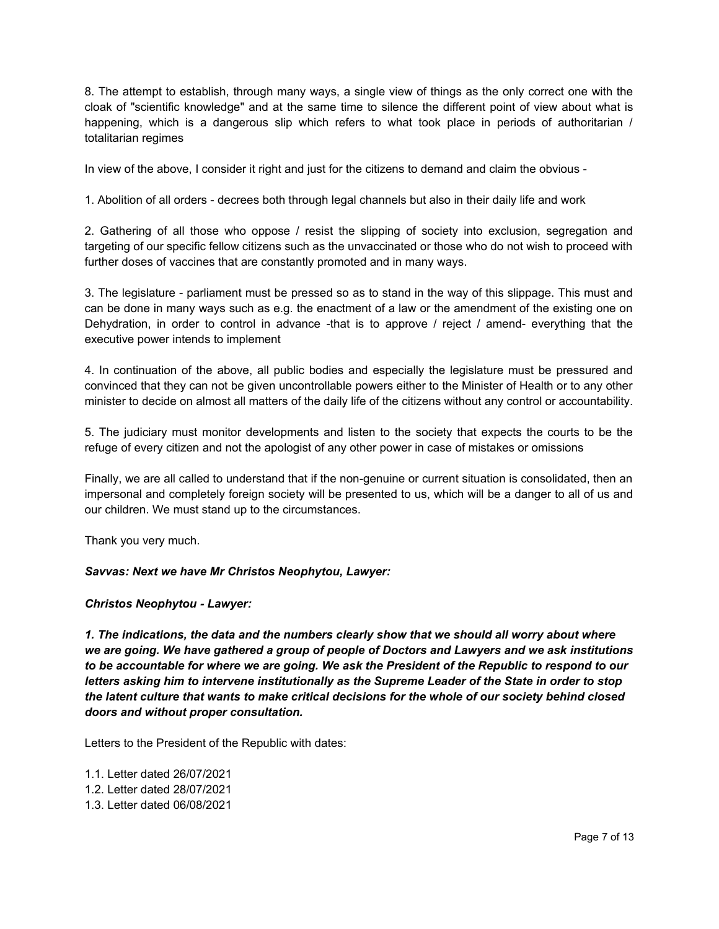8. The attempt to establish, through many ways, a single view of things as the only correct one with the cloak of "scientific knowledge" and at the same time to silence the different point of view about what is happening, which is a dangerous slip which refers to what took place in periods of authoritarian / totalitarian regimes

In view of the above, I consider it right and just for the citizens to demand and claim the obvious -

1. Abolition of all orders - decrees both through legal channels but also in their daily life and work

2. Gathering of all those who oppose / resist the slipping of society into exclusion, segregation and targeting of our specific fellow citizens such as the unvaccinated or those who do not wish to proceed with further doses of vaccines that are constantly promoted and in many ways.

3. The legislature - parliament must be pressed so as to stand in the way of this slippage. This must and can be done in many ways such as e.g. the enactment of a law or the amendment of the existing one on Dehydration, in order to control in advance -that is to approve / reject / amend- everything that the executive power intends to implement

4. In continuation of the above, all public bodies and especially the legislature must be pressured and convinced that they can not be given uncontrollable powers either to the Minister of Health or to any other minister to decide on almost all matters of the daily life of the citizens without any control or accountability.

5. The judiciary must monitor developments and listen to the society that expects the courts to be the refuge of every citizen and not the apologist of any other power in case of mistakes or omissions

Finally, we are all called to understand that if the non-genuine or current situation is consolidated, then an impersonal and completely foreign society will be presented to us, which will be a danger to all of us and our children. We must stand up to the circumstances.

Thank you very much.

### *Savvas: Next we have Mr Christos Neophytou, Lawyer:*

### *Christos Neophytou - Lawyer:*

*1. The indications, the data and the numbers clearly show that we should all worry about where we are going. We have gathered a group of people of Doctors and Lawyers and we ask institutions to be accountable for where we are going. We ask the President of the Republic to respond to our letters asking him to intervene institutionally as the Supreme Leader of the State in order to stop the latent culture that wants to make critical decisions for the whole of our society behind closed doors and without proper consultation.*

Letters to the President of the Republic with dates:

1.1. Letter dated 26/07/2021 1.2. Letter dated 28/07/2021 1.3. Letter dated 06/08/2021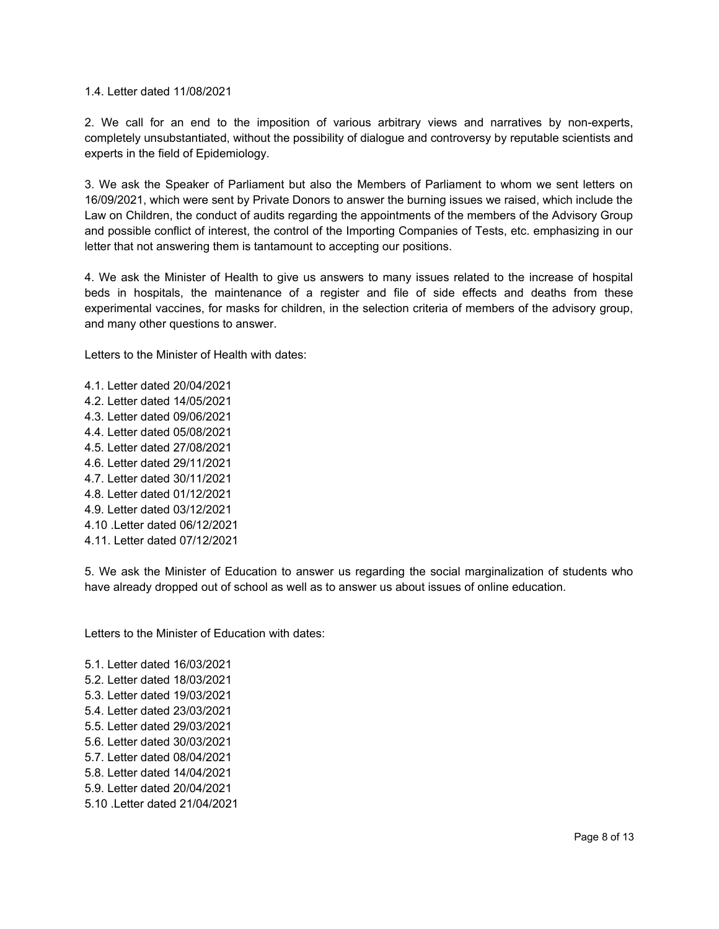1.4. Letter dated 11/08/2021

2. We call for an end to the imposition of various arbitrary views and narratives by non-experts, completely unsubstantiated, without the possibility of dialogue and controversy by reputable scientists and experts in the field of Epidemiology.

3. We ask the Speaker of Parliament but also the Members of Parliament to whom we sent letters on 16/09/2021, which were sent by Private Donors to answer the burning issues we raised, which include the Law on Children, the conduct of audits regarding the appointments of the members of the Advisory Group and possible conflict of interest, the control of the Importing Companies of Tests, etc. emphasizing in our letter that not answering them is tantamount to accepting our positions.

4. We ask the Minister of Health to give us answers to many issues related to the increase of hospital beds in hospitals, the maintenance of a register and file of side effects and deaths from these experimental vaccines, for masks for children, in the selection criteria of members of the advisory group, and many other questions to answer.

Letters to the Minister of Health with dates:

4.1. Letter dated 20/04/2021 4.2. Letter dated 14/05/2021 4.3. Letter dated 09/06/2021 4.4. Letter dated 05/08/2021 4.5. Letter dated 27/08/2021 4.6. Letter dated 29/11/2021 4.7. Letter dated 30/11/2021 4.8. Letter dated 01/12/2021 4.9. Letter dated 03/12/2021 4.10 .Letter dated 06/12/2021 4.11. Letter dated 07/12/2021

5. We ask the Minister of Education to answer us regarding the social marginalization of students who have already dropped out of school as well as to answer us about issues of online education.

Letters to the Minister of Education with dates:

5.1. Letter dated 16/03/2021 5.2. Letter dated 18/03/2021 5.3. Letter dated 19/03/2021 5.4. Letter dated 23/03/2021 5.5. Letter dated 29/03/2021 5.6. Letter dated 30/03/2021 5.7. Letter dated 08/04/2021 5.8. Letter dated 14/04/2021 5.9. Letter dated 20/04/2021 5.10 .Letter dated 21/04/2021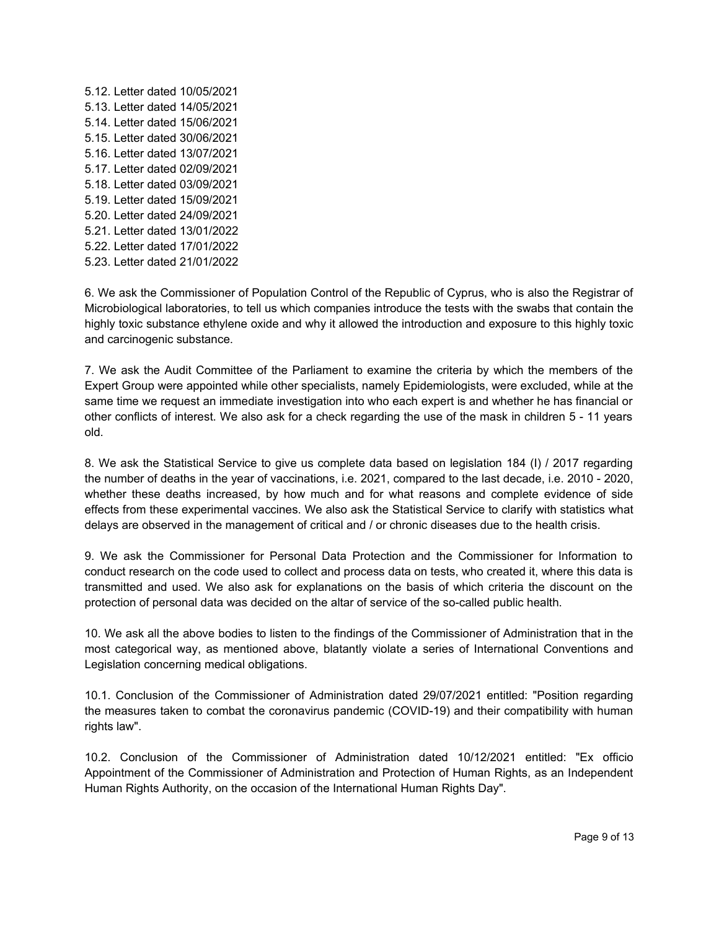5.12. Letter dated 10/05/2021 5.13. Letter dated 14/05/2021 5.14. Letter dated 15/06/2021 5.15. Letter dated 30/06/2021 5.16. Letter dated 13/07/2021 5.17. Letter dated 02/09/2021 5.18. Letter dated 03/09/2021 5.19. Letter dated 15/09/2021 5.20. Letter dated 24/09/2021 5.21. Letter dated 13/01/2022 5.22. Letter dated 17/01/2022 5.23. Letter dated 21/01/2022

6. We ask the Commissioner of Population Control of the Republic of Cyprus, who is also the Registrar of Microbiological laboratories, to tell us which companies introduce the tests with the swabs that contain the highly toxic substance ethylene oxide and why it allowed the introduction and exposure to this highly toxic and carcinogenic substance.

7. We ask the Audit Committee of the Parliament to examine the criteria by which the members of the Expert Group were appointed while other specialists, namely Epidemiologists, were excluded, while at the same time we request an immediate investigation into who each expert is and whether he has financial or other conflicts of interest. We also ask for a check regarding the use of the mask in children 5 - 11 years old.

8. We ask the Statistical Service to give us complete data based on legislation 184 (I) / 2017 regarding the number of deaths in the year of vaccinations, i.e. 2021, compared to the last decade, i.e. 2010 - 2020, whether these deaths increased, by how much and for what reasons and complete evidence of side effects from these experimental vaccines. We also ask the Statistical Service to clarify with statistics what delays are observed in the management of critical and / or chronic diseases due to the health crisis.

9. We ask the Commissioner for Personal Data Protection and the Commissioner for Information to conduct research on the code used to collect and process data on tests, who created it, where this data is transmitted and used. We also ask for explanations on the basis of which criteria the discount on the protection of personal data was decided on the altar of service of the so-called public health.

10. We ask all the above bodies to listen to the findings of the Commissioner of Administration that in the most categorical way, as mentioned above, blatantly violate a series of International Conventions and Legislation concerning medical obligations.

10.1. Conclusion of the Commissioner of Administration dated 29/07/2021 entitled: "Position regarding the measures taken to combat the coronavirus pandemic (COVID-19) and their compatibility with human rights law".

10.2. Conclusion of the Commissioner of Administration dated 10/12/2021 entitled: "Ex officio Appointment of the Commissioner of Administration and Protection of Human Rights, as an Independent Human Rights Authority, on the occasion of the International Human Rights Day".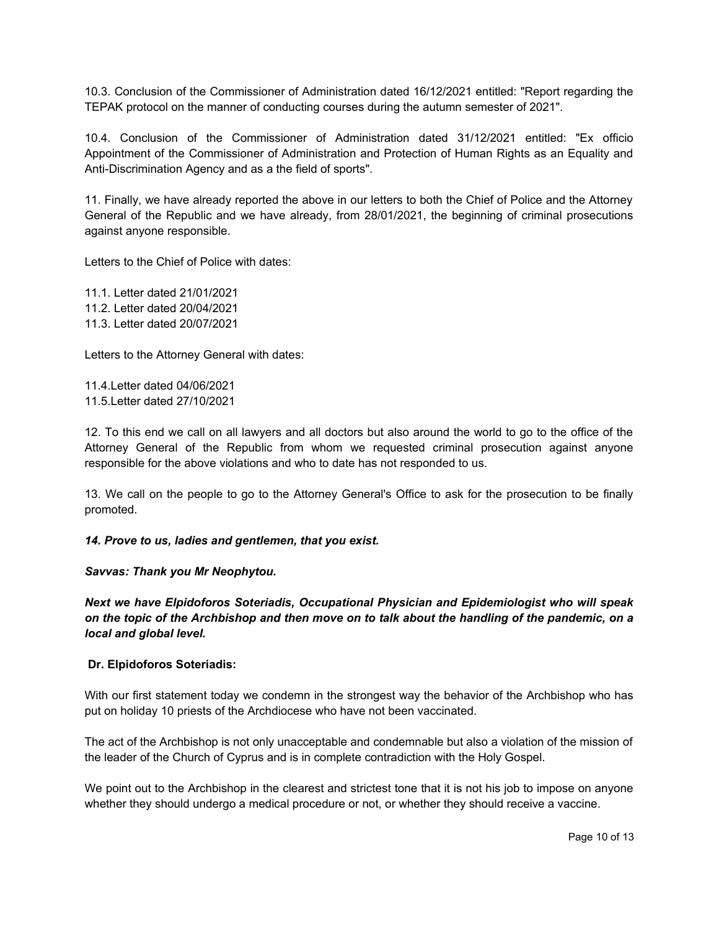10.3. Conclusion of the Commissioner of Administration dated 16/12/2021 entitled: "Report regarding the TEPAK protocol on the manner of conducting courses during the autumn semester of 2021".

10.4. Conclusion of the Commissioner of Administration dated 31/12/2021 entitled: "Ex officio Appointment of the Commissioner of Administration and Protection of Human Rights as an Equality and Anti-Discrimination Agency and as a the field of sports".

11. Finally, we have already reported the above in our letters to both the Chief of Police and the Attorney General of the Republic and we have already, from 28/01/2021, the beginning of criminal prosecutions against anyone responsible.

Letters to the Chief of Police with dates:

11.1. Letter dated 21/01/2021 11.2. Letter dated 20/04/2021 11.3. Letter dated 20/07/2021

Letters to the Attorney General with dates:

11.4.Letter dated 04/06/2021 11.5.Letter dated 27/10/2021

12. To this end we call on all lawyers and all doctors but also around the world to go to the office of the Attorney General of the Republic from whom we requested criminal prosecution against anyone responsible for the above violations and who to date has not responded to us.

13. We call on the people to go to the Attorney General's Office to ask for the prosecution to be finally promoted.

*14. Prove to us, ladies and gentlemen, that you exist.*

*Savvas: Thank you Mr Neophytou.*

*Next we have Elpidoforos Soteriadis, Occupational Physician and Epidemiologist who will speak on the topic of the Archbishop and then move on to talk about the handling of the pandemic, on a local and global level.*

# **Dr. Elpidoforos Soteriadis:**

With our first statement today we condemn in the strongest way the behavior of the Archbishop who has put on holiday 10 priests of the Archdiocese who have not been vaccinated.

The act of the Archbishop is not only unacceptable and condemnable but also a violation of the mission of the leader of the Church of Cyprus and is in complete contradiction with the Holy Gospel.

We point out to the Archbishop in the clearest and strictest tone that it is not his job to impose on anyone whether they should undergo a medical procedure or not, or whether they should receive a vaccine.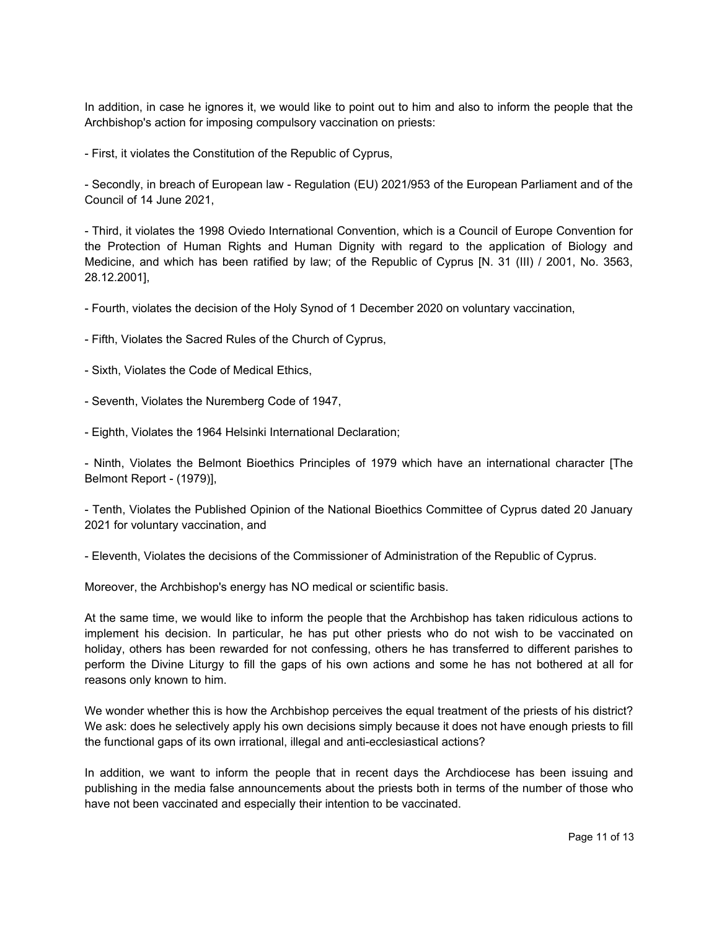In addition, in case he ignores it, we would like to point out to him and also to inform the people that the Archbishop's action for imposing compulsory vaccination on priests:

- First, it violates the Constitution of the Republic of Cyprus,

- Secondly, in breach of European law - Regulation (EU) 2021/953 of the European Parliament and of the Council of 14 June 2021,

- Third, it violates the 1998 Oviedo International Convention, which is a Council of Europe Convention for the Protection of Human Rights and Human Dignity with regard to the application of Biology and Medicine, and which has been ratified by law; of the Republic of Cyprus [N. 31 (III) / 2001, No. 3563, 28.12.2001],

- Fourth, violates the decision of the Holy Synod of 1 December 2020 on voluntary vaccination,

- Fifth, Violates the Sacred Rules of the Church of Cyprus,

- Sixth, Violates the Code of Medical Ethics,

- Seventh, Violates the Nuremberg Code of 1947,

- Eighth, Violates the 1964 Helsinki International Declaration;

- Ninth, Violates the Belmont Bioethics Principles of 1979 which have an international character [The Belmont Report - (1979)],

- Tenth, Violates the Published Opinion of the National Bioethics Committee of Cyprus dated 20 January 2021 for voluntary vaccination, and

- Eleventh, Violates the decisions of the Commissioner of Administration of the Republic of Cyprus.

Moreover, the Archbishop's energy has NO medical or scientific basis.

At the same time, we would like to inform the people that the Archbishop has taken ridiculous actions to implement his decision. In particular, he has put other priests who do not wish to be vaccinated on holiday, others has been rewarded for not confessing, others he has transferred to different parishes to perform the Divine Liturgy to fill the gaps of his own actions and some he has not bothered at all for reasons only known to him.

We wonder whether this is how the Archbishop perceives the equal treatment of the priests of his district? We ask: does he selectively apply his own decisions simply because it does not have enough priests to fill the functional gaps of its own irrational, illegal and anti-ecclesiastical actions?

In addition, we want to inform the people that in recent days the Archdiocese has been issuing and publishing in the media false announcements about the priests both in terms of the number of those who have not been vaccinated and especially their intention to be vaccinated.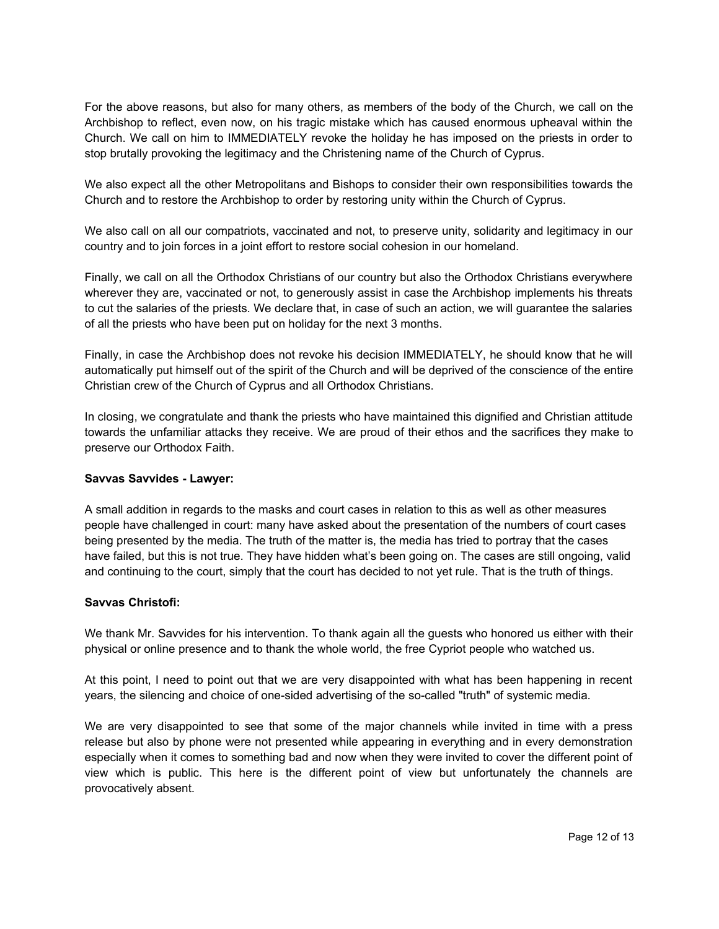For the above reasons, but also for many others, as members of the body of the Church, we call on the Archbishop to reflect, even now, on his tragic mistake which has caused enormous upheaval within the Church. We call on him to IMMEDIATELY revoke the holiday he has imposed on the priests in order to stop brutally provoking the legitimacy and the Christening name of the Church of Cyprus.

We also expect all the other Metropolitans and Bishops to consider their own responsibilities towards the Church and to restore the Archbishop to order by restoring unity within the Church of Cyprus.

We also call on all our compatriots, vaccinated and not, to preserve unity, solidarity and legitimacy in our country and to join forces in a joint effort to restore social cohesion in our homeland.

Finally, we call on all the Orthodox Christians of our country but also the Orthodox Christians everywhere wherever they are, vaccinated or not, to generously assist in case the Archbishop implements his threats to cut the salaries of the priests. We declare that, in case of such an action, we will guarantee the salaries of all the priests who have been put on holiday for the next 3 months.

Finally, in case the Archbishop does not revoke his decision IMMEDIATELY, he should know that he will automatically put himself out of the spirit of the Church and will be deprived of the conscience of the entire Christian crew of the Church of Cyprus and all Orthodox Christians.

In closing, we congratulate and thank the priests who have maintained this dignified and Christian attitude towards the unfamiliar attacks they receive. We are proud of their ethos and the sacrifices they make to preserve our Orthodox Faith.

# **Savvas Savvides - Lawyer:**

A small addition in regards to the masks and court cases in relation to this as well as other measures people have challenged in court: many have asked about the presentation of the numbers of court cases being presented by the media. The truth of the matter is, the media has tried to portray that the cases have failed, but this is not true. They have hidden what's been going on. The cases are still ongoing, valid and continuing to the court, simply that the court has decided to not yet rule. That is the truth of things.

# **Savvas Christofi:**

We thank Mr. Savvides for his intervention. To thank again all the guests who honored us either with their physical or online presence and to thank the whole world, the free Cypriot people who watched us.

At this point, I need to point out that we are very disappointed with what has been happening in recent years, the silencing and choice of one-sided advertising of the so-called "truth" of systemic media.

We are very disappointed to see that some of the major channels while invited in time with a press release but also by phone were not presented while appearing in everything and in every demonstration especially when it comes to something bad and now when they were invited to cover the different point of view which is public. This here is the different point of view but unfortunately the channels are provocatively absent.